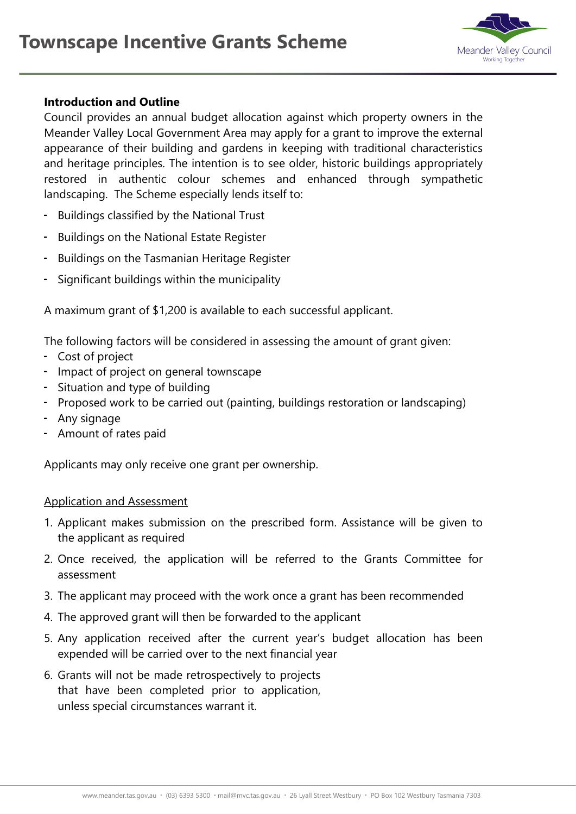

## **Introduction and Outline**

Council provides an annual budget allocation against which property owners in the Meander Valley Local Government Area may apply for a grant to improve the external appearance of their building and gardens in keeping with traditional characteristics and heritage principles. The intention is to see older, historic buildings appropriately restored in authentic colour schemes and enhanced through sympathetic landscaping. The Scheme especially lends itself to:

- Buildings classified by the National Trust
- Buildings on the National Estate Register
- Buildings on the Tasmanian Heritage Register
- Significant buildings within the municipality

A maximum grant of \$1,200 is available to each successful applicant.

The following factors will be considered in assessing the amount of grant given:

- Cost of project
- Impact of project on general townscape
- Situation and type of building
- Proposed work to be carried out (painting, buildings restoration or landscaping)
- Any signage
- Amount of rates paid

Applicants may only receive one grant per ownership.

## Application and Assessment

- 1. Applicant makes submission on the prescribed form. Assistance will be given to the applicant as required
- 2. Once received, the application will be referred to the Grants Committee for assessment
- 3. The applicant may proceed with the work once a grant has been recommended
- 4. The approved grant will then be forwarded to the applicant
- 5. Any application received after the current year's budget allocation has been expended will be carried over to the next financial year
- 6. Grants will not be made retrospectively to projects that have been completed prior to application, unless special circumstances warrant it.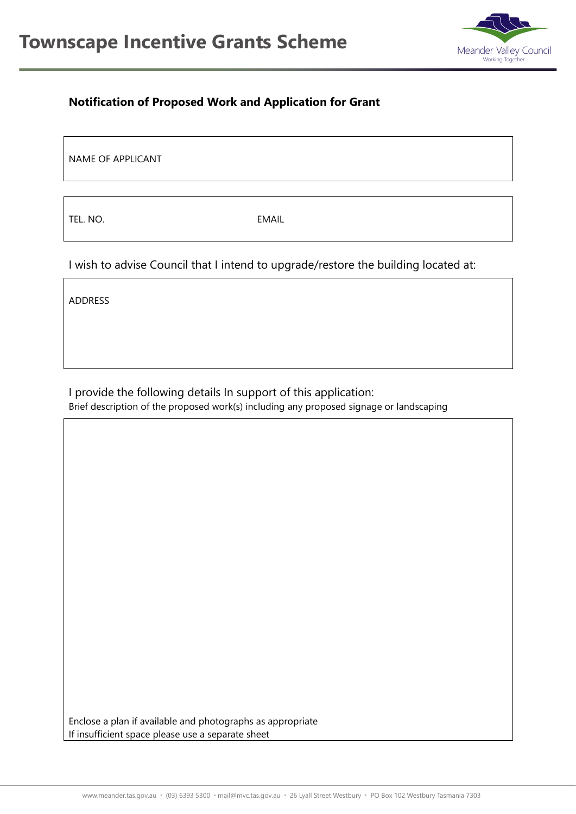

## **Notification of Proposed Work and Application for Grant**

NAME OF APPLICANT

TEL. NO. EMAIL

I wish to advise Council that I intend to upgrade/restore the building located at:

ADDRESS

I provide the following details In support of this application: Brief description of the proposed work(s) including any proposed signage or landscaping

Enclose a plan if available and photographs as appropriate If insufficient space please use a separate sheet